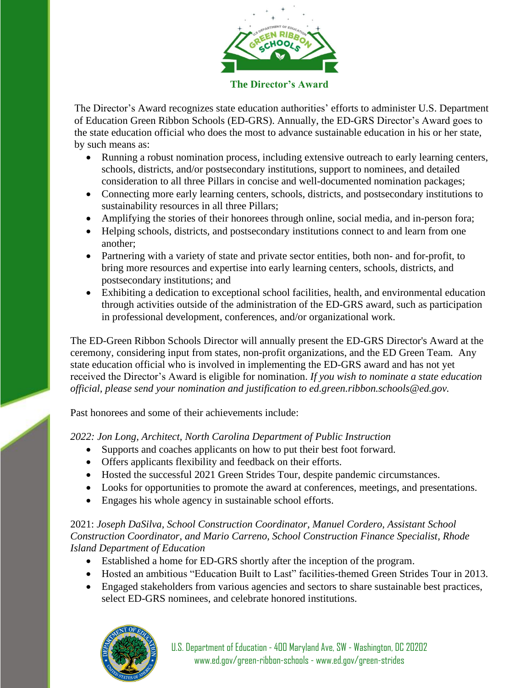

#### **The Director's Award**

The Director's Award recognizes state education authorities' efforts to administer U.S. Department of Education Green Ribbon Schools (ED-GRS). Annually, the ED-GRS Director's Award goes to the state education official who does the most to advance sustainable education in his or her state, by such means as:

- Running a robust nomination process, including extensive outreach to early learning centers, schools, districts, and/or postsecondary institutions, support to nominees, and detailed consideration to all three Pillars in concise and well-documented nomination packages;
- Connecting more early learning centers, schools, districts, and postsecondary institutions to sustainability resources in all three Pillars;
- Amplifying the stories of their honorees through online, social media, and in-person fora;
- Helping schools, districts, and postsecondary institutions connect to and learn from one another;
- Partnering with a variety of state and private sector entities, both non- and for-profit, to bring more resources and expertise into early learning centers, schools, districts, and postsecondary institutions; and
- Exhibiting a dedication to exceptional school facilities, health, and environmental education through activities outside of the administration of the ED-GRS award, such as participation in professional development, conferences, and/or organizational work.

The ED-Green Ribbon Schools Director will annually present the ED-GRS Director's Award at the ceremony, considering input from states, non-profit organizations, and the ED Green Team*.* Any state education official who is involved in implementing the ED-GRS award and has not yet received the Director's Award is eligible for nomination. *If you wish to nominate a state education official, please send your nomination and justification to ed.green.ribbon.schools@ed.gov.*

Past honorees and some of their achievements include:

*2022: Jon Long, Architect, North Carolina Department of Public Instruction*

- Supports and coaches applicants on how to put their best foot forward.
- Offers applicants flexibility and feedback on their efforts.
- Hosted the successful 2021 Green Strides Tour, despite pandemic circumstances.
- Looks for opportunities to promote the award at conferences, meetings, and presentations.
- Engages his whole agency in sustainable school efforts.

#### 2021: *Joseph DaSilva, School Construction Coordinator, Manuel Cordero, Assistant School Construction Coordinator, and Mario Carreno, School Construction Finance Specialist, Rhode Island Department of Education*

- Established a home for ED-GRS shortly after the inception of the program.
- Hosted an ambitious "Education Built to Last" facilities-themed Green Strides Tour in 2013.
- Engaged stakeholders from various agencies and sectors to share sustainable best practices, select ED-GRS nominees, and celebrate honored institutions.

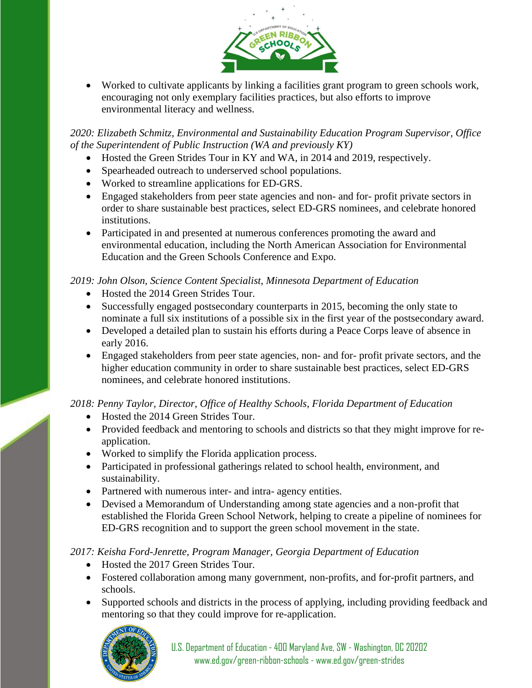

• Worked to cultivate applicants by linking a facilities grant program to green schools work, encouraging not only exemplary facilities practices, but also efforts to improve environmental literacy and wellness.

*2020: Elizabeth Schmitz, Environmental and Sustainability Education Program Supervisor, Office of the Superintendent of Public Instruction (WA and previously KY)*

- Hosted the Green Strides Tour in KY and WA, in 2014 and 2019, respectively.
- Spearheaded outreach to underserved school populations.
- Worked to streamline applications for ED-GRS.
- Engaged stakeholders from peer state agencies and non- and for- profit private sectors in order to share sustainable best practices, select ED-GRS nominees, and celebrate honored institutions.
- Participated in and presented at numerous conferences promoting the award and environmental education, including the North American Association for Environmental Education and the Green Schools Conference and Expo.

### *2019: John Olson, Science Content Specialist, Minnesota Department of Education*

- Hosted the 2014 Green Strides Tour.
- Successfully engaged postsecondary counterparts in 2015, becoming the only state to nominate a full six institutions of a possible six in the first year of the postsecondary award.
- Developed a detailed plan to sustain his efforts during a Peace Corps leave of absence in early 2016.
- Engaged stakeholders from peer state agencies, non- and for- profit private sectors, and the higher education community in order to share sustainable best practices, select ED-GRS nominees, and celebrate honored institutions.

## *2018: Penny Taylor, Director, Office of Healthy Schools, Florida Department of Education*

- Hosted the 2014 Green Strides Tour.
- Provided feedback and mentoring to schools and districts so that they might improve for reapplication.
- Worked to simplify the Florida application process.
- Participated in professional gatherings related to school health, environment, and sustainability.
- Partnered with numerous inter- and intra- agency entities.
- Devised a Memorandum of Understanding among state agencies and a non-profit that established the Florida Green School Network, helping to create a pipeline of nominees for ED-GRS recognition and to support the green school movement in the state.

## *2017: Keisha Ford-Jenrette, Program Manager, Georgia Department of Education*

- Hosted the 2017 Green Strides Tour.
- Fostered collaboration among many government, non-profits, and for-profit partners, and schools.
- Supported schools and districts in the process of applying, including providing feedback and mentoring so that they could improve for re-application.

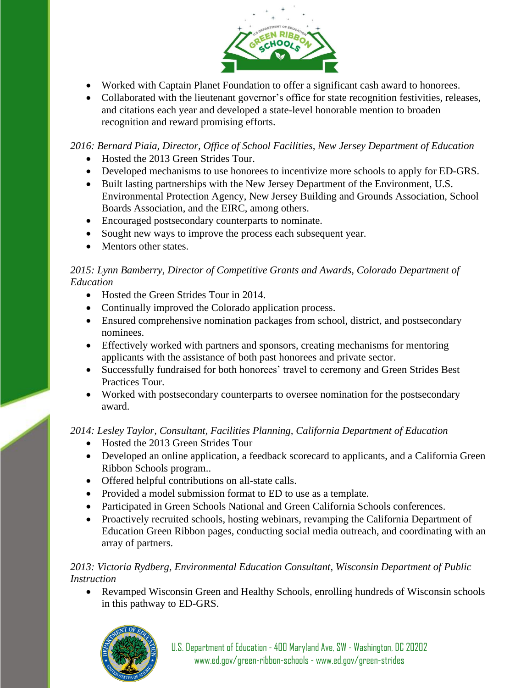

- Worked with Captain Planet Foundation to offer a significant cash award to honorees.
- Collaborated with the lieutenant governor's office for state recognition festivities, releases, and citations each year and developed a state-level honorable mention to broaden recognition and reward promising efforts.

*2016: Bernard Piaia, Director, Office of School Facilities, New Jersey Department of Education*

- Hosted the 2013 Green Strides Tour.
- Developed mechanisms to use honorees to incentivize more schools to apply for ED-GRS.
- Built lasting partnerships with the New Jersey Department of the Environment, U.S. Environmental Protection Agency, New Jersey Building and Grounds Association, School Boards Association, and the EIRC, among others.
- Encouraged postsecondary counterparts to nominate.
- Sought new ways to improve the process each subsequent year.
- Mentors other states.

## *2015: Lynn Bamberry, Director of Competitive Grants and Awards, Colorado Department of Education*

- Hosted the Green Strides Tour in 2014.
- Continually improved the Colorado application process.
- Ensured comprehensive nomination packages from school, district, and postsecondary nominees.
- Effectively worked with partners and sponsors, creating mechanisms for mentoring applicants with the assistance of both past honorees and private sector.
- Successfully fundraised for both honorees' travel to ceremony and Green Strides Best Practices Tour.
- Worked with postsecondary counterparts to oversee nomination for the postsecondary award.

# *2014: Lesley Taylor, Consultant, Facilities Planning, California Department of Education*

- Hosted the 2013 Green Strides Tour
- Developed an online application, a feedback scorecard to applicants, and a California Green Ribbon Schools program..
- Offered helpful contributions on all-state calls.
- Provided a model submission format to ED to use as a template.
- Participated in Green Schools National and Green California Schools conferences.
- Proactively recruited schools, hosting webinars, revamping the California Department of Education Green Ribbon pages, conducting social media outreach, and coordinating with an array of partners.

# *2013: Victoria Rydberg, Environmental Education Consultant, Wisconsin Department of Public Instruction*

• Revamped Wisconsin Green and Healthy Schools, enrolling hundreds of Wisconsin schools in this pathway to ED-GRS.